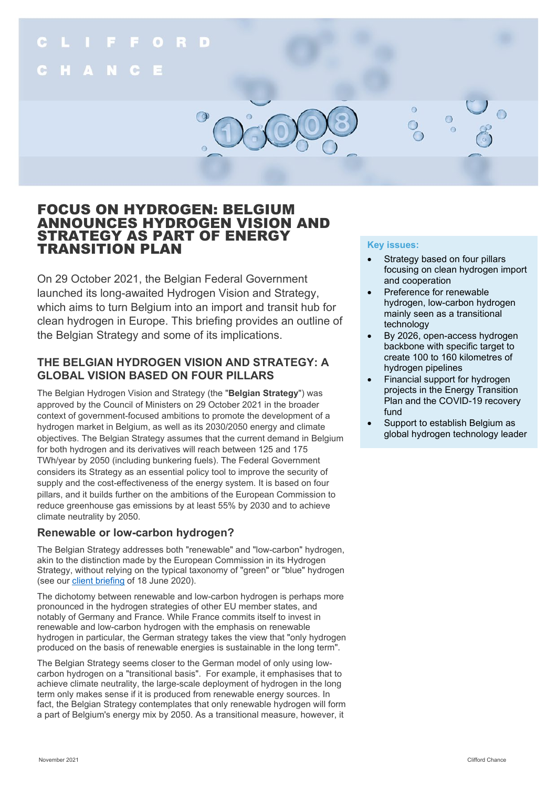

# FOCUS ON HYDROGEN: BELGIUM ANNOUNCES HYDROGEN VISION AND STRATEGY AS PART OF ENERGY TRANSITION PLAN

On 29 October 2021, the Belgian Federal Government launched its long-awaited Hydrogen Vision and Strategy, which aims to turn Belgium into an import and transit hub for clean hydrogen in Europe. This briefing provides an outline of the Belgian Strategy and some of its implications.

# **THE BELGIAN HYDROGEN VISION AND STRATEGY: A GLOBAL VISION BASED ON FOUR PILLARS**

The Belgian Hydrogen Vision and Strategy (the "**Belgian Strategy**") was approved by the Council of Ministers on 29 October 2021 in the broader context of government-focused ambitions to promote the development of a hydrogen market in Belgium, as well as its 2030/2050 energy and climate objectives. The Belgian Strategy assumes that the current demand in Belgium for both hydrogen and its derivatives will reach between 125 and 175 TWh/year by 2050 (including bunkering fuels). The Federal Government considers its Strategy as an essential policy tool to improve the security of supply and the cost-effectiveness of the energy system. It is based on four pillars, and it builds further on the ambitions of the European Commission to reduce greenhouse gas emissions by at least 55% by 2030 and to achieve climate neutrality by 2050.

# **Renewable or low-carbon hydrogen?**

The Belgian Strategy addresses both "renewable" and "low-carbon" hydrogen, akin to the distinction made by the European Commission in its Hydrogen Strategy, without relying on the typical taxonomy of "green" or "blue" hydrogen (see our [client briefing](https://www.cliffordchance.com/content/dam/cliffordchance/briefings/2020/06/belgium-potential-of-ch-in-belgium-and-europe%2022.7.pdf) of 18 June 2020).

The dichotomy between renewable and low-carbon hydrogen is perhaps more pronounced in the hydrogen strategies of other EU member states, and notably of Germany and France. While France commits itself to invest in renewable and low-carbon hydrogen with the emphasis on renewable hydrogen in particular, the German strategy takes the view that "only hydrogen produced on the basis of renewable energies is sustainable in the long term".

The Belgian Strategy seems closer to the German model of only using lowcarbon hydrogen on a "transitional basis". For example, it emphasises that to achieve climate neutrality, the large-scale deployment of hydrogen in the long term only makes sense if it is produced from renewable energy sources. In fact, the Belgian Strategy contemplates that only renewable hydrogen will form a part of Belgium's energy mix by 2050. As a transitional measure, however, it

## **Key issues:**

- Strategy based on four pillars focusing on clean hydrogen import and cooperation
- Preference for renewable hydrogen, low-carbon hydrogen mainly seen as a transitional technology
- By 2026, open-access hydrogen backbone with specific target to create 100 to 160 kilometres of hydrogen pipelines
- Financial support for hydrogen projects in the Energy Transition Plan and the COVID-19 recovery fund
- Support to establish Belgium as global hydrogen technology leader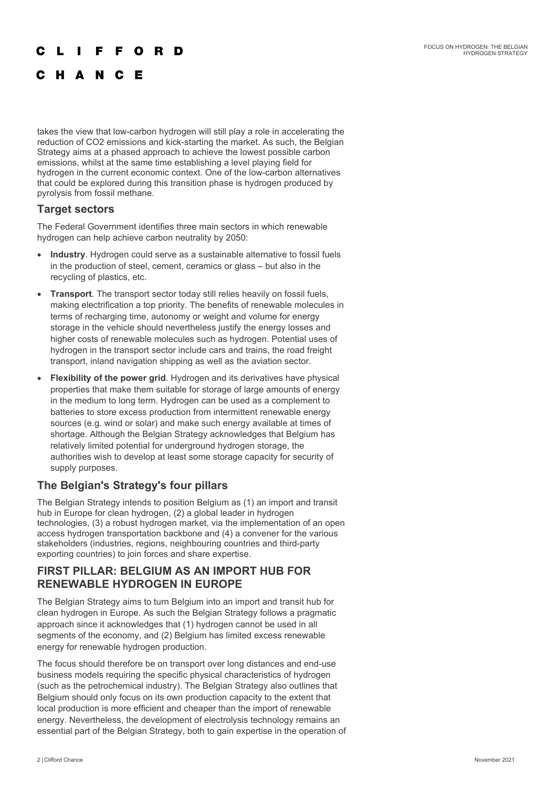#### F E  $\Omega$ R D

# C H A N C E

takes the view that low-carbon hydrogen will still play a role in accelerating the reduction of CO2 emissions and kick-starting the market. As such, the Belgian Strategy aims at a phased approach to achieve the lowest possible carbon emissions, whilst at the same time establishing a level playing field for hydrogen in the current economic context. One of the low-carbon alternatives that could be explored during this transition phase is hydrogen produced by pyrolysis from fossil methane.

## **Target sectors**

The Federal Government identifies three main sectors in which renewable hydrogen can help achieve carbon neutrality by 2050:

- **Industry**. Hydrogen could serve as a sustainable alternative to fossil fuels in the production of steel, cement, ceramics or glass – but also in the recycling of plastics, etc.
- **Transport**. The transport sector today still relies heavily on fossil fuels, making electrification a top priority. The benefits of renewable molecules in terms of recharging time, autonomy or weight and volume for energy storage in the vehicle should nevertheless justify the energy losses and higher costs of renewable molecules such as hydrogen. Potential uses of hydrogen in the transport sector include cars and trains, the road freight transport, inland navigation shipping as well as the aviation sector.
- **Flexibility of the power grid**. Hydrogen and its derivatives have physical properties that make them suitable for storage of large amounts of energy in the medium to long term. Hydrogen can be used as a complement to batteries to store excess production from intermittent renewable energy sources (e.g. wind or solar) and make such energy available at times of shortage. Although the Belgian Strategy acknowledges that Belgium has relatively limited potential for underground hydrogen storage, the authorities wish to develop at least some storage capacity for security of supply purposes.

# **The Belgian's Strategy's four pillars**

The Belgian Strategy intends to position Belgium as (1) an import and transit hub in Europe for clean hydrogen, (2) a global leader in hydrogen technologies, (3) a robust hydrogen market, via the implementation of an open access hydrogen transportation backbone and (4) a convener for the various stakeholders (industries, regions, neighbouring countries and third-party exporting countries) to join forces and share expertise.

## **FIRST PILLAR: BELGIUM AS AN IMPORT HUB FOR RENEWABLE HYDROGEN IN EUROPE**

The Belgian Strategy aims to turn Belgium into an import and transit hub for clean hydrogen in Europe. As such the Belgian Strategy follows a pragmatic approach since it acknowledges that (1) hydrogen cannot be used in all segments of the economy, and (2) Belgium has limited excess renewable energy for renewable hydrogen production.

The focus should therefore be on transport over long distances and end-use business models requiring the specific physical characteristics of hydrogen (such as the petrochemical industry). The Belgian Strategy also outlines that Belgium should only focus on its own production capacity to the extent that local production is more efficient and cheaper than the import of renewable energy. Nevertheless, the development of electrolysis technology remains an essential part of the Belgian Strategy, both to gain expertise in the operation of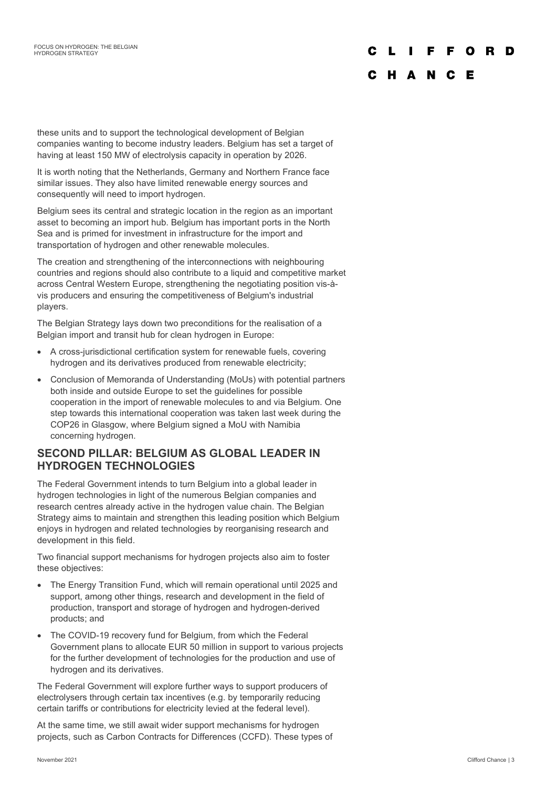# F O R D

# C H A N C E

these units and to support the technological development of Belgian companies wanting to become industry leaders. Belgium has set a target of having at least 150 MW of electrolysis capacity in operation by 2026.

It is worth noting that the Netherlands, Germany and Northern France face similar issues. They also have limited renewable energy sources and consequently will need to import hydrogen.

Belgium sees its central and strategic location in the region as an important asset to becoming an import hub. Belgium has important ports in the North Sea and is primed for investment in infrastructure for the import and transportation of hydrogen and other renewable molecules.

The creation and strengthening of the interconnections with neighbouring countries and regions should also contribute to a liquid and competitive market across Central Western Europe, strengthening the negotiating position vis-àvis producers and ensuring the competitiveness of Belgium's industrial players.

The Belgian Strategy lays down two preconditions for the realisation of a Belgian import and transit hub for clean hydrogen in Europe:

- A cross-jurisdictional certification system for renewable fuels, covering hydrogen and its derivatives produced from renewable electricity;
- Conclusion of Memoranda of Understanding (MoUs) with potential partners both inside and outside Europe to set the guidelines for possible cooperation in the import of renewable molecules to and via Belgium. One step towards this international cooperation was taken last week during the COP26 in Glasgow, where Belgium signed a MoU with Namibia concerning hydrogen.

## **SECOND PILLAR: BELGIUM AS GLOBAL LEADER IN HYDROGEN TECHNOLOGIES**

The Federal Government intends to turn Belgium into a global leader in hydrogen technologies in light of the numerous Belgian companies and research centres already active in the hydrogen value chain. The Belgian Strategy aims to maintain and strengthen this leading position which Belgium enjoys in hydrogen and related technologies by reorganising research and development in this field.

Two financial support mechanisms for hydrogen projects also aim to foster these objectives:

- The Energy Transition Fund, which will remain operational until 2025 and support, among other things, research and development in the field of production, transport and storage of hydrogen and hydrogen-derived products; and
- The COVID-19 recovery fund for Belgium, from which the Federal Government plans to allocate EUR 50 million in support to various projects for the further development of technologies for the production and use of hydrogen and its derivatives.

The Federal Government will explore further ways to support producers of electrolysers through certain tax incentives (e.g. by temporarily reducing certain tariffs or contributions for electricity levied at the federal level).

At the same time, we still await wider support mechanisms for hydrogen projects, such as Carbon Contracts for Differences (CCFD). These types of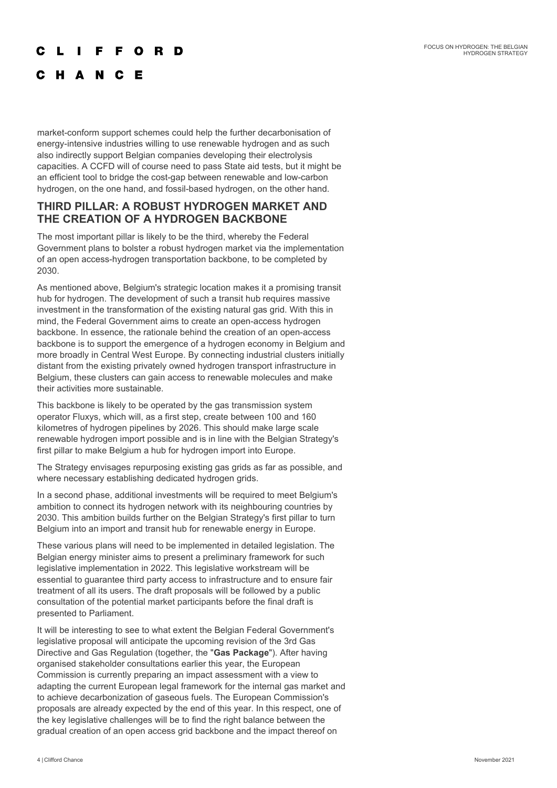### E. F O R D

# C H A N C E

market-conform support schemes could help the further decarbonisation of energy-intensive industries willing to use renewable hydrogen and as such also indirectly support Belgian companies developing their electrolysis capacities. A CCFD will of course need to pass State aid tests, but it might be an efficient tool to bridge the cost-gap between renewable and low-carbon hydrogen, on the one hand, and fossil-based hydrogen, on the other hand.

## **THIRD PILLAR: A ROBUST HYDROGEN MARKET AND THE CREATION OF A HYDROGEN BACKBONE**

The most important pillar is likely to be the third, whereby the Federal Government plans to bolster a robust hydrogen market via the implementation of an open access-hydrogen transportation backbone, to be completed by 2030.

As mentioned above, Belgium's strategic location makes it a promising transit hub for hydrogen. The development of such a transit hub requires massive investment in the transformation of the existing natural gas grid. With this in mind, the Federal Government aims to create an open-access hydrogen backbone. In essence, the rationale behind the creation of an open-access backbone is to support the emergence of a hydrogen economy in Belgium and more broadly in Central West Europe. By connecting industrial clusters initially distant from the existing privately owned hydrogen transport infrastructure in Belgium, these clusters can gain access to renewable molecules and make their activities more sustainable.

This backbone is likely to be operated by the gas transmission system operator Fluxys, which will, as a first step, create between 100 and 160 kilometres of hydrogen pipelines by 2026. This should make large scale renewable hydrogen import possible and is in line with the Belgian Strategy's first pillar to make Belgium a hub for hydrogen import into Europe.

The Strategy envisages repurposing existing gas grids as far as possible, and where necessary establishing dedicated hydrogen grids.

In a second phase, additional investments will be required to meet Belgium's ambition to connect its hydrogen network with its neighbouring countries by 2030. This ambition builds further on the Belgian Strategy's first pillar to turn Belgium into an import and transit hub for renewable energy in Europe.

These various plans will need to be implemented in detailed legislation. The Belgian energy minister aims to present a preliminary framework for such legislative implementation in 2022. This legislative workstream will be essential to guarantee third party access to infrastructure and to ensure fair treatment of all its users. The draft proposals will be followed by a public consultation of the potential market participants before the final draft is presented to Parliament.

It will be interesting to see to what extent the Belgian Federal Government's legislative proposal will anticipate the upcoming revision of the 3rd Gas Directive and Gas Regulation (together, the "**Gas Package**"). After having organised stakeholder consultations earlier this year, the European Commission is currently preparing an impact assessment with a view to adapting the current European legal framework for the internal gas market and to achieve decarbonization of gaseous fuels. The European Commission's proposals are already expected by the end of this year. In this respect, one of the key legislative challenges will be to find the right balance between the gradual creation of an open access grid backbone and the impact thereof on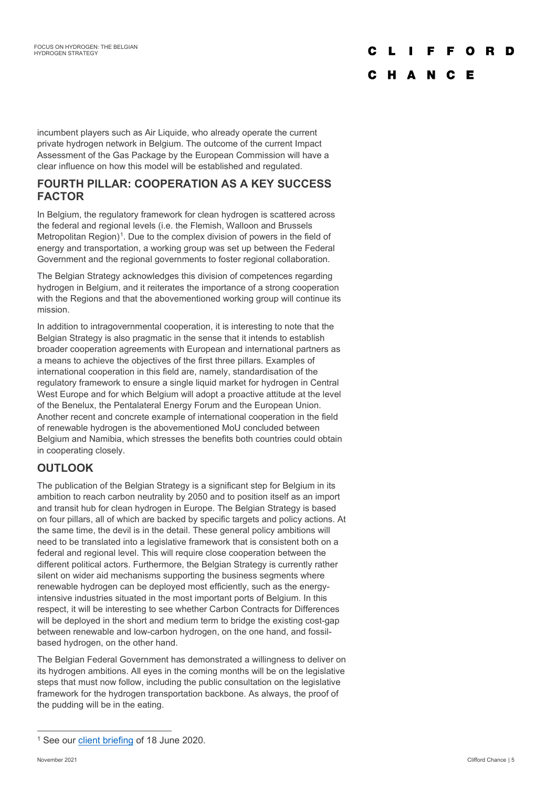# $\Omega$

# C H A N C E

incumbent players such as Air Liquide, who already operate the current private hydrogen network in Belgium. The outcome of the current Impact Assessment of the Gas Package by the European Commission will have a clear influence on how this model will be established and regulated.

# **FOURTH PILLAR: COOPERATION AS A KEY SUCCESS FACTOR**

In Belgium, the regulatory framework for clean hydrogen is scattered across the federal and regional levels (i.e. the Flemish, Walloon and Brussels Metropolitan Region)<sup>[1](#page-4-0)</sup>. Due to the complex division of powers in the field of energy and transportation, a working group was set up between the Federal Government and the regional governments to foster regional collaboration.

The Belgian Strategy acknowledges this division of competences regarding hydrogen in Belgium, and it reiterates the importance of a strong cooperation with the Regions and that the abovementioned working group will continue its mission.

In addition to intragovernmental cooperation, it is interesting to note that the Belgian Strategy is also pragmatic in the sense that it intends to establish broader cooperation agreements with European and international partners as a means to achieve the objectives of the first three pillars. Examples of international cooperation in this field are, namely, standardisation of the regulatory framework to ensure a single liquid market for hydrogen in Central West Europe and for which Belgium will adopt a proactive attitude at the level of the Benelux, the Pentalateral Energy Forum and the European Union. Another recent and concrete example of international cooperation in the field of renewable hydrogen is the abovementioned MoU concluded between Belgium and Namibia, which stresses the benefits both countries could obtain in cooperating closely.

# **OUTLOOK**

The publication of the Belgian Strategy is a significant step for Belgium in its ambition to reach carbon neutrality by 2050 and to position itself as an import and transit hub for clean hydrogen in Europe. The Belgian Strategy is based on four pillars, all of which are backed by specific targets and policy actions. At the same time, the devil is in the detail. These general policy ambitions will need to be translated into a legislative framework that is consistent both on a federal and regional level. This will require close cooperation between the different political actors. Furthermore, the Belgian Strategy is currently rather silent on wider aid mechanisms supporting the business segments where renewable hydrogen can be deployed most efficiently, such as the energyintensive industries situated in the most important ports of Belgium. In this respect, it will be interesting to see whether Carbon Contracts for Differences will be deployed in the short and medium term to bridge the existing cost-gap between renewable and low-carbon hydrogen, on the one hand, and fossilbased hydrogen, on the other hand.

The Belgian Federal Government has demonstrated a willingness to deliver on its hydrogen ambitions. All eyes in the coming months will be on the legislative steps that must now follow, including the public consultation on the legislative framework for the hydrogen transportation backbone. As always, the proof of the pudding will be in the eating.

<span id="page-4-0"></span><sup>&</sup>lt;sup>1</sup> See our [client briefing](https://www.cliffordchance.com/content/dam/cliffordchance/briefings/2020/06/belgium-potential-of-ch-in-belgium-and-europe%2022.7.pdf) of 18 June 2020.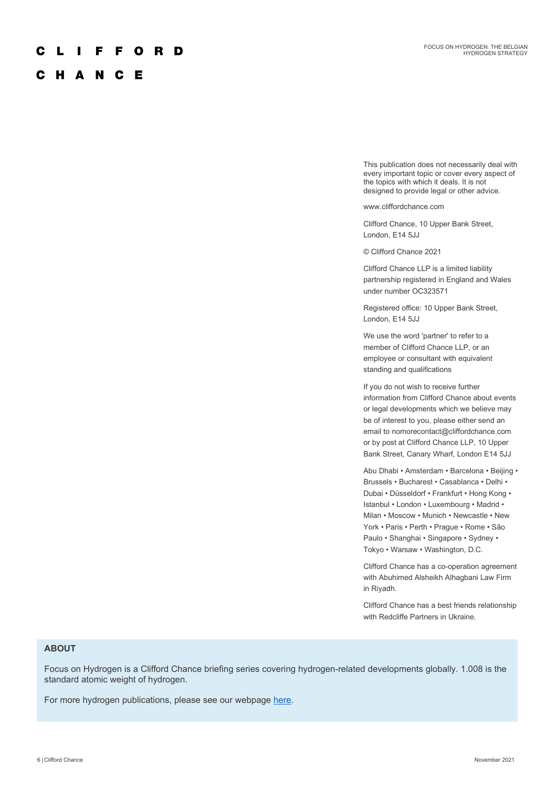### F O R D F.

## C H A N C E

This publication does not necessarily deal with every important topic or cover every aspect of the topics with which it deals. It is not designed to provide legal or other advice.

www.cliffordchance.com

Clifford Chance, 10 Upper Bank Street, London, E14 5JJ

© Clifford Chance 2021

Clifford Chance LLP is a limited liability partnership registered in England and Wales under number OC323571

Registered office: 10 Upper Bank Street, London, E14 5JJ

We use the word 'partner' to refer to a member of Clifford Chance LLP, or an employee or consultant with equivalent standing and qualifications

If you do not wish to receive further information from Clifford Chance about events or legal developments which we believe may be of interest to you, please either send an email to nomorecontact@cliffordchance.com or by post at Clifford Chance LLP, 10 Upper Bank Street, Canary Wharf, London E14 5JJ

Abu Dhabi • Amsterdam • Barcelona • Beijing • Brussels • Bucharest • Casablanca • Delhi • Dubai • Düsseldorf • Frankfurt • Hong Kong • Istanbul • London • Luxembourg • Madrid • Milan • Moscow • Munich • Newcastle • New York • Paris • Perth • Prague • Rome • São Paulo • Shanghai • Singapore • Sydney • Tokyo • Warsaw • Washington, D.C.

Clifford Chance has a co-operation agreement with Abuhimed Alsheikh Alhagbani Law Firm in Riyadh.

Clifford Chance has a best friends relationship with Redcliffe Partners in Ukraine.

### **ABOUT**

Focus on Hydrogen is a Clifford Chance briefing series covering hydrogen-related developments globally. 1.008 is the standard atomic weight of hydrogen.

For more hydrogen publications, please see our webpage [here.](https://www.cliffordchance.com/expertise/services/esg/sustainability-and-esg-services/energy-transition/clean-hydrogen.html)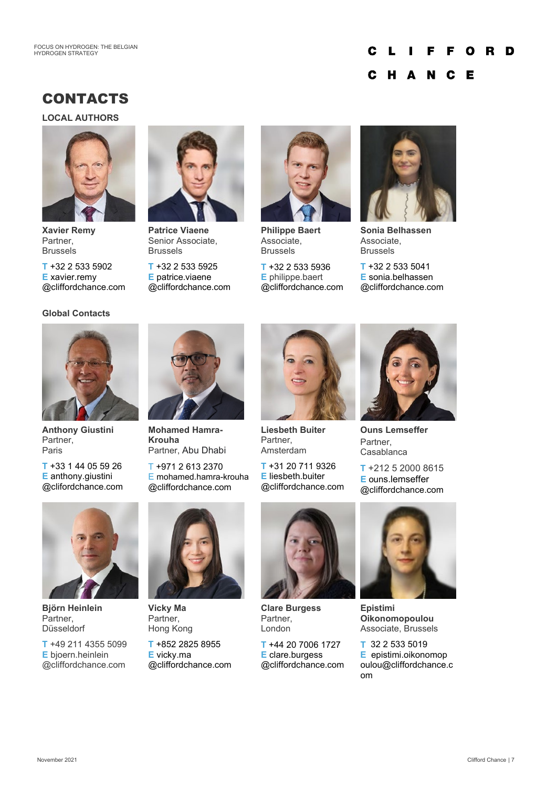### C F. FORD L П

#### C H A **N** C E

# CONTACTS

**LOCAL AUTHORS** 



**Xavier Remy** Partner, Brussels

**T** +32 2 533 5902 **E** xavier.remy @cliffordchance.com

## **Global Contacts**



**Patrice Viaene** Senior Associate, Brussels

**T** +32 2 533 5925 **E** patrice.viaene @cliffordchance.com



**Philippe Baert** Associate, Brussels

**T** +32 2 533 5936 **E** philippe.baert @cliffordchance.com



**Sonia Belhassen** Associate, Brussels

**T** +32 2 533 5041 **E** sonia.belhassen @cliffordchance.com



**Anthony Giustini** Partner, Paris

**T** +33 1 44 05 59 26 **E** anthony.giustini @clifordchance.com



**Mohamed Hamra-Krouha** Partner, Abu Dhabi

T +971 2 613 2370 E mohamed.hamra-krouha @cliffordchance.com



**Liesbeth Buiter** Partner, Amsterdam

**T** +31 20 711 9326 **E** liesbeth.buiter @cliffordchance.com



**Ouns Lemseffer** Partner, Casablanca

**T** +212 5 2000 8615 **E** ouns.lemseffer @cliffordchance.com



**Björn Heinlein** Partner, Düsseldorf

**T** +49 211 4355 5099 **E** bjoern.heinlein @cliffordchance.com



**Vicky Ma** Partner, Hong Kong

**T** +852 2825 8955 **E** vicky.ma @cliffordchance.com



**Clare Burgess** Partner, London

**T** +44 20 7006 1727 **E** clare.burgess @cliffordchance.com



**Epistimi Oikonomopoulou** Associate, Brussels

**T** 32 2 533 5019 **E** epistimi.oikonomop oulou@cliffordchance.c om